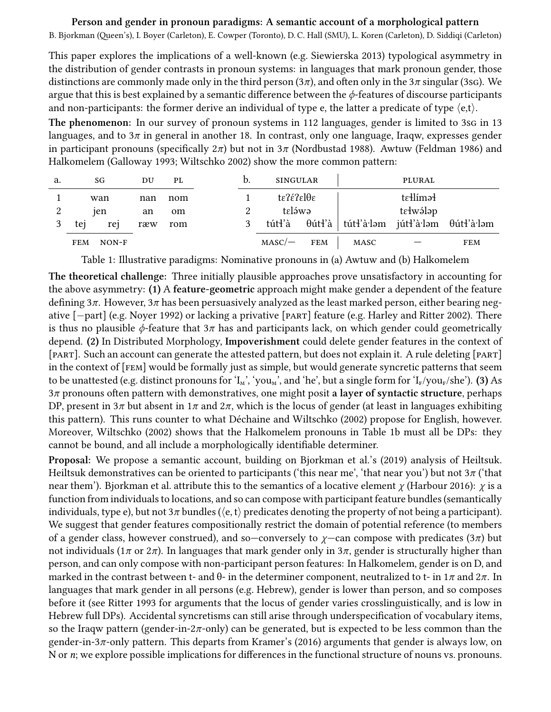## **Person and gender in pronoun paradigms: A semantic account of a morphological pattern**

B. Bjorkman (Queen's), I. Boyer (Carleton), E. Cowper (Toronto), D. C. Hall (SMU), L. Koren (Carleton), D. Siddiqi (Carleton)

This paper explores the implications of a well-known (e.g. [Siewierska](#page-1-0) [2013](#page-1-0)) typological asymmetry in the distribution of gender contrasts in pronoun systems: in languages that mark pronoun gender, those distinctions are commonly made only in the third person (3*π*), and often only in the 3*π* singular (3sg). We argue that this is best explained by a semantic difference between the *ϕ*-features of discourse participants and non-participants: the former derive an individual of type e, the latter a predicate of type *⟨*e,t*⟩*.

The phenomenon: In our survey of pronoun systems in 112 languages, gender is limited to 3sg in 13 languages, and to 3*π* in general in another 18. In contrast, only one language, Iraqw, expresses gender in participant pronouns (specifically  $2\pi$ ) but not in  $3\pi$  [\(Nordbustad](#page-1-1) [1988\)](#page-1-1). Awtuw [\(Feldman](#page-1-2) [1986\)](#page-1-2) and Halkomelem([Galloway](#page-1-3) [1993](#page-1-3); [Wiltschko](#page-1-4) [2002](#page-1-4)) show the more common pattern:

| a. | SG                    | $_{\rm DU}$ | PL  | b. | <b>SINGULAR</b>     |            | PLURAL    |                                                                                                                 |            |
|----|-----------------------|-------------|-----|----|---------------------|------------|-----------|-----------------------------------------------------------------------------------------------------------------|------------|
|    | wan                   | nan         | nom |    | tε?έ?εlθε           |            | tellíməl  |                                                                                                                 |            |
| 2  | <sub>1</sub> en       | an          | om  |    | taláwa              |            | tɛłwə́ləp |                                                                                                                 |            |
|    | tej<br>rej            | ræw         | rom |    | tút <del>l</del> 'à |            |           | $\theta$ út $\mathbf{f}'$ à   tút $\mathbf{f}'$ à·ləm   jút $\mathbf{f}'$ à·ləm $\theta$ út $\mathbf{f}'$ à·ləm |            |
|    | <b>FEM</b><br>$NON-F$ |             |     |    | $MASC$ —            | <b>FEM</b> | MASC      |                                                                                                                 | <b>FEM</b> |

<span id="page-0-0"></span>Table 1: Illustrative paradigms: Nominative pronouns in (a) Awtuw and (b) Halkomelem

**The theoretical challenge:** Three initially plausible approaches prove unsatisfactory in accounting for the above asymmetry: **(1)** A **feature-geometric** approach might make gender a dependent of the feature defining 3*π*. However, 3*π* has been persuasively analyzed as the least marked person, either bearing negative [*−*part] (e.g. [Noyer](#page-1-5) [1992\)](#page-1-5) or lacking a privative [part] feature (e.g. [Harley and Ritter](#page-1-6) [2002](#page-1-6)). There is thus no plausible  $\phi$ -feature that  $3\pi$  has and participants lack, on which gender could geometrically depend. **(2)** In Distributed Morphology, **Impoverishment** could delete gender features in the context of [part]. Such an account can generate the attested pattern, but does not explain it. A rule deleting [part] in the context of [fem] would be formally just as simple, but would generate syncretic patterns that seem to be unattested (e.g. distinct pronouns for ' $I_M$ ', 'you<sub>M</sub>', and 'he', but a single form for ' $I_F$ /you<sub>F</sub>/she'). **(3)** As 3*π* pronouns often pattern with demonstratives, one might posit **a layer of syntactic structure**, perhaps DP, present in  $3\pi$  but absent in  $1\pi$  and  $2\pi$ , which is the locus of gender (at least in languages exhibiting this pattern). This runs counter to what [Déchaine and Wiltschko](#page-1-7) [\(2002](#page-1-7)) propose for English, however. Moreover, [Wiltschko](#page-1-4) [\(2002](#page-1-4)) shows that the Halkomelem pronouns in Table [1b](#page-0-0) must all be DPs: they cannot be bound, and all include a morphologically identifiable determiner.

**Proposal:** We propose a semantic account, building on [Bjorkman et al.'](#page-1-8)s([2019\)](#page-1-8) analysis of Heiltsuk. Heiltsuk demonstratives can be oriented to participants ('this near me', 'that near you') but not 3*π* ('that near them'). [Bjorkman et al.](#page-1-8) attribute this to the semantics of a locative element *χ* ([Harbour](#page-1-9) [2016](#page-1-9)): *χ* is a function from individuals to locations, and so can compose with participant feature bundles (semantically individuals, type e), but not  $3\pi$  bundles ( $\langle e, t \rangle$  predicates denoting the property of not being a participant). We suggest that gender features compositionally restrict the domain of potential reference (to members of a gender class, however construed), and so—conversely to *χ*—can compose with predicates (3*π*) but not individuals (1*π* or 2*π*). In languages that mark gender only in 3*π*, gender is structurally higher than person, and can only compose with non-participant person features: In Halkomelem, gender is on D, and marked in the contrast between t- and θ- in the determiner component, neutralized to t- in 1*π* and 2*π*. In languages that mark gender in all persons (e.g. Hebrew), gender is lower than person, and so composes before it (see [Ritter](#page-1-10) [1993](#page-1-10) for arguments that the locus of gender varies crosslinguistically, and is low in Hebrew full DPs). Accidental syncretisms can still arise through underspecification of vocabulary items, so the Iraqw pattern (gender-in- $2\pi$ -only) can be generated, but is expected to be less common than the gender-in-3*π*-only pattern. This departs from [Kramer'](#page-1-11)s [\(2016](#page-1-11)) arguments that gender is always low, on N or *n*; we explore possible implications for differences in the functional structure of nouns vs. pronouns.